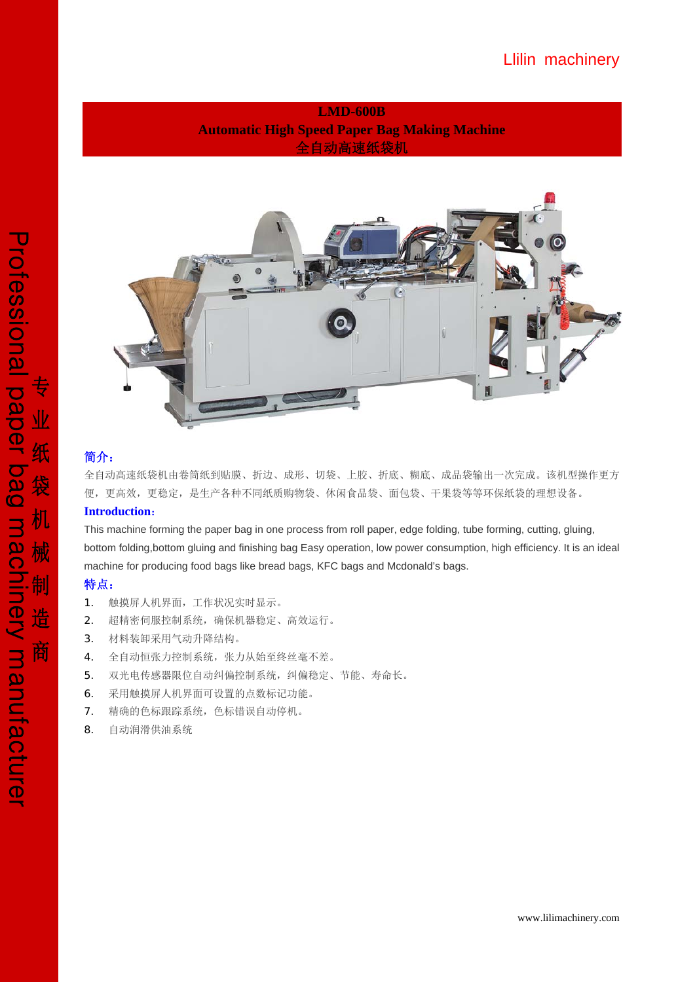**LMD-600B Automatic High Speed Paper Bag Making Machine**  全自动高速纸袋机



# 简介:

全自动高速纸袋机由卷筒纸到贴膜、折边、成形、切袋、上胶、折底、糊底、成品袋输出一次完成。该机型操作更方 便,更高效,更稳定,是生产各种不同纸质购物袋、休闲食品袋、面包袋、干果袋等等环保纸袋的理想设备。

## **Introduction**:

This machine forming the paper bag in one process from roll paper, edge folding, tube forming, cutting, gluing, bottom folding,bottom gluing and finishing bag Easy operation, low power consumption, high efficiency. It is an ideal machine for producing food bags like bread bags, KFC bags and Mcdonald's bags.

## 特点:

- 1. 触摸屏人机界面,工作状况实时显示。
- 2. 超精密伺服控制系统,确保机器稳定、高效运行。
- 3. 材料装卸采用气动升降结构。
- 4. 全自动恒张力控制系统,张力从始至终丝毫不差。
- 5. 双光电传感器限位自动纠偏控制系统,纠偏稳定、节能、寿命长。
- 6. 采用触摸屏人机界面可设置的点数标记功能。
- 7. 精确的色标跟踪系统,色标错误自动停机。
- 8. 自动润滑供油系统